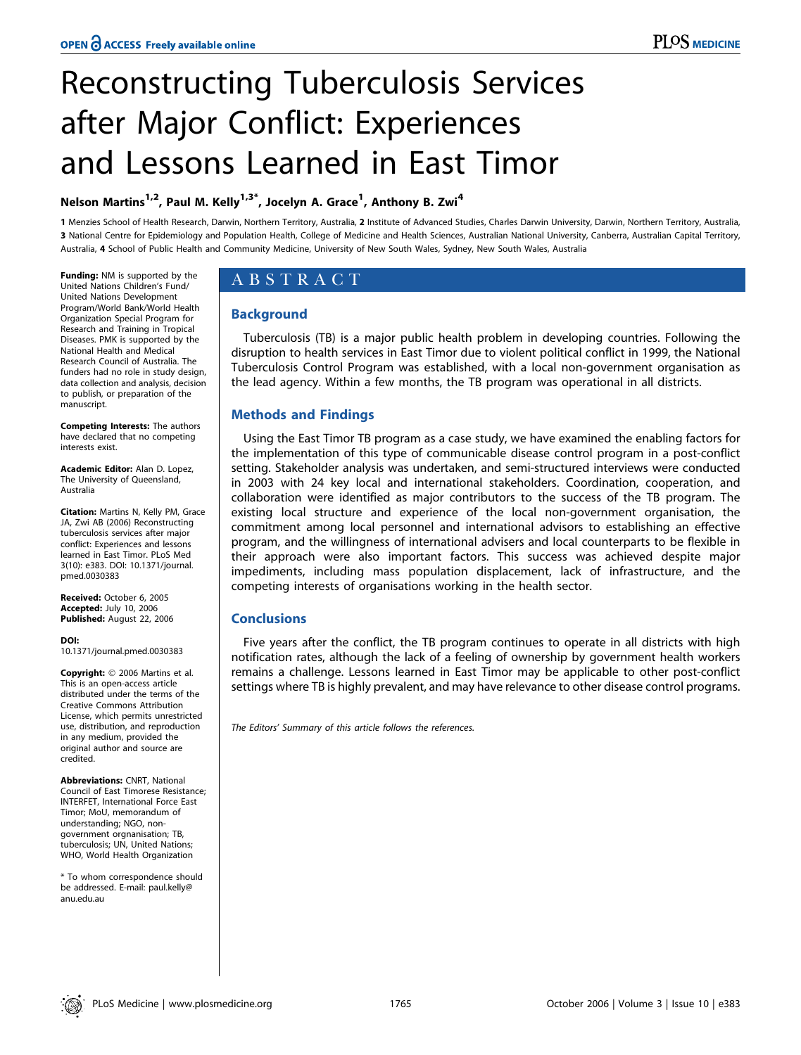# Reconstructing Tuberculosis Services after Major Conflict: Experiences and Lessons Learned in East Timor

# Nelson Martins<sup>1,2</sup>, Paul M. Kelly<sup>1,3\*</sup>, Jocelyn A. Grace<sup>1</sup>, Anthony B. Zwi<sup>4</sup>

1 Menzies School of Health Research, Darwin, Northern Territory, Australia, 2 Institute of Advanced Studies, Charles Darwin University, Darwin, Northern Territory, Australia, 3 National Centre for Epidemiology and Population Health, College of Medicine and Health Sciences, Australian National University, Canberra, Australian Capital Territory, Australia, 4 School of Public Health and Community Medicine, University of New South Wales, Sydney, New South Wales, Australia

Funding: NM is supported by the United Nations Children's Fund/ United Nations Development Program/World Bank/World Health Organization Special Program for Research and Training in Tropical Diseases. PMK is supported by the National Health and Medical Research Council of Australia. The funders had no role in study design, data collection and analysis, decision to publish, or preparation of the manuscript.

Competing Interests: The authors have declared that no competing interests exist.

Academic Editor: Alan D. Lopez, The University of Queensland, Australia

Citation: Martins N, Kelly PM, Grace JA, Zwi AB (2006) Reconstructing tuberculosis services after major conflict: Experiences and lessons learned in East Timor. PLoS Med 3(10): e383. DOI: 10.1371/journal. pmed.0030383

Received: October 6, 2005 Accepted: July 10, 2006 Published: August 22, 2006

#### DOI:

10.1371/journal.pmed.0030383

Copyright: © 2006 Martins et al. This is an open-access article distributed under the terms of the Creative Commons Attribution License, which permits unrestricted use, distribution, and reproduction in any medium, provided the original author and source are credited.

Abbreviations: CNRT, National Council of East Timorese Resistance; INTERFET, International Force East Timor; MoU, memorandum of understanding; NGO, nongovernment orgnanisation; TB, tuberculosis; UN, United Nations; WHO, World Health Organization

\* To whom correspondence should be addressed. E-mail: paul.kelly@ anu.edu.au

# ABSTRACT

# Background

Tuberculosis (TB) is a major public health problem in developing countries. Following the disruption to health services in East Timor due to violent political conflict in 1999, the National Tuberculosis Control Program was established, with a local non-government organisation as the lead agency. Within a few months, the TB program was operational in all districts.

# Methods and Findings

Using the East Timor TB program as a case study, we have examined the enabling factors for the implementation of this type of communicable disease control program in a post-conflict setting. Stakeholder analysis was undertaken, and semi-structured interviews were conducted in 2003 with 24 key local and international stakeholders. Coordination, cooperation, and collaboration were identified as major contributors to the success of the TB program. The existing local structure and experience of the local non-government organisation, the commitment among local personnel and international advisors to establishing an effective program, and the willingness of international advisers and local counterparts to be flexible in their approach were also important factors. This success was achieved despite major impediments, including mass population displacement, lack of infrastructure, and the competing interests of organisations working in the health sector.

# **Conclusions**

Five years after the conflict, the TB program continues to operate in all districts with high notification rates, although the lack of a feeling of ownership by government health workers remains a challenge. Lessons learned in East Timor may be applicable to other post-conflict settings where TB is highly prevalent, and may have relevance to other disease control programs.

The Editors' Summary of this article follows the references.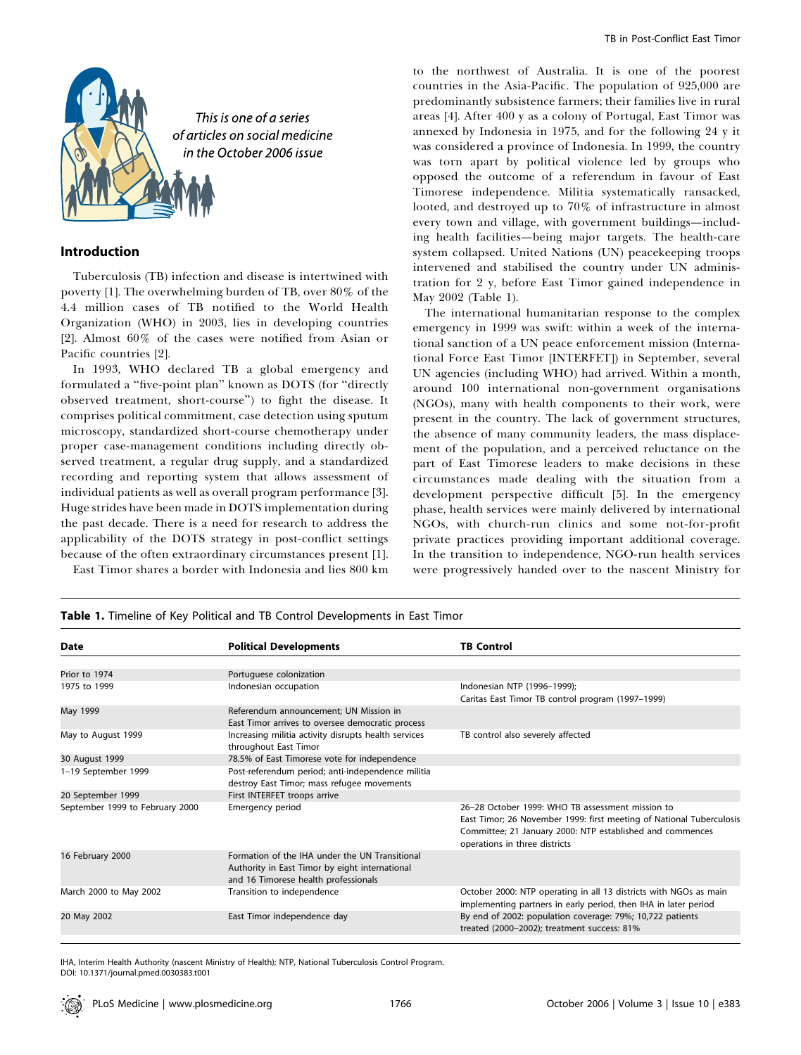

# Introduction

Tuberculosis (TB) infection and disease is intertwined with poverty [1]. The overwhelming burden of TB, over 80% of the 4.4 million cases of TB notified to the World Health Organization (WHO) in 2003, lies in developing countries [2]. Almost 60% of the cases were notified from Asian or Pacific countries [2].

In 1993, WHO declared TB a global emergency and formulated a ''five-point plan'' known as DOTS (for ''directly observed treatment, short-course'') to fight the disease. It comprises political commitment, case detection using sputum microscopy, standardized short-course chemotherapy under proper case-management conditions including directly observed treatment, a regular drug supply, and a standardized recording and reporting system that allows assessment of individual patients as well as overall program performance [3]. Huge strides have been made in DOTS implementation during the past decade. There is a need for research to address the applicability of the DOTS strategy in post-conflict settings because of the often extraordinary circumstances present [1].

East Timor shares a border with Indonesia and lies 800 km

to the northwest of Australia. It is one of the poorest countries in the Asia-Pacific. The population of 925,000 are predominantly subsistence farmers; their families live in rural areas [4]. After 400 y as a colony of Portugal, East Timor was annexed by Indonesia in 1975, and for the following 24 y it was considered a province of Indonesia. In 1999, the country was torn apart by political violence led by groups who opposed the outcome of a referendum in favour of East Timorese independence. Militia systematically ransacked, looted, and destroyed up to 70% of infrastructure in almost every town and village, with government buildings—including health facilities—being major targets. The health-care system collapsed. United Nations (UN) peacekeeping troops intervened and stabilised the country under UN administration for 2 y, before East Timor gained independence in May 2002 (Table 1).

The international humanitarian response to the complex emergency in 1999 was swift: within a week of the international sanction of a UN peace enforcement mission (International Force East Timor [INTERFET]) in September, several UN agencies (including WHO) had arrived. Within a month, around 100 international non-government organisations (NGOs), many with health components to their work, were present in the country. The lack of government structures, the absence of many community leaders, the mass displacement of the population, and a perceived reluctance on the part of East Timorese leaders to make decisions in these circumstances made dealing with the situation from a development perspective difficult [5]. In the emergency phase, health services were mainly delivered by international NGOs, with church-run clinics and some not-for-profit private practices providing important additional coverage. In the transition to independence, NGO-run health services were progressively handed over to the nascent Ministry for

| <b>Political Developments</b>                                                 | <b>TB Control</b>                                                                                                                                                                                                      |
|-------------------------------------------------------------------------------|------------------------------------------------------------------------------------------------------------------------------------------------------------------------------------------------------------------------|
|                                                                               |                                                                                                                                                                                                                        |
|                                                                               |                                                                                                                                                                                                                        |
| Indonesian occupation                                                         | Indonesian NTP (1996-1999);<br>Caritas East Timor TB control program (1997-1999)                                                                                                                                       |
| Referendum announcement; UN Mission in                                        |                                                                                                                                                                                                                        |
| East Timor arrives to oversee democratic process                              |                                                                                                                                                                                                                        |
| Increasing militia activity disrupts health services<br>throughout East Timor | TB control also severely affected                                                                                                                                                                                      |
| 78.5% of East Timorese vote for independence                                  |                                                                                                                                                                                                                        |
| Post-referendum period; anti-independence militia                             |                                                                                                                                                                                                                        |
| destroy East Timor; mass refugee movements                                    |                                                                                                                                                                                                                        |
| First INTERFET troops arrive                                                  |                                                                                                                                                                                                                        |
| Emergency period                                                              | 26-28 October 1999: WHO TB assessment mission to<br>East Timor; 26 November 1999: first meeting of National Tuberculosis<br>Committee; 21 January 2000: NTP established and commences<br>operations in three districts |
| Formation of the IHA under the UN Transitional                                |                                                                                                                                                                                                                        |
| Authority in East Timor by eight international                                |                                                                                                                                                                                                                        |
| and 16 Timorese health professionals                                          |                                                                                                                                                                                                                        |
| Transition to independence                                                    | October 2000: NTP operating in all 13 districts with NGOs as main<br>implementing partners in early period, then IHA in later period                                                                                   |
| East Timor independence day                                                   | By end of 2002: population coverage: 79%; 10,722 patients<br>treated (2000-2002); treatment success: 81%                                                                                                               |
|                                                                               | Portuguese colonization                                                                                                                                                                                                |

Table 1. Timeline of Key Political and TB Control Developments in East Timor

IHA, Interim Health Authority (nascent Ministry of Health); NTP, National Tuberculosis Control Program. DOI: 10.1371/journal.pmed.0030383.t001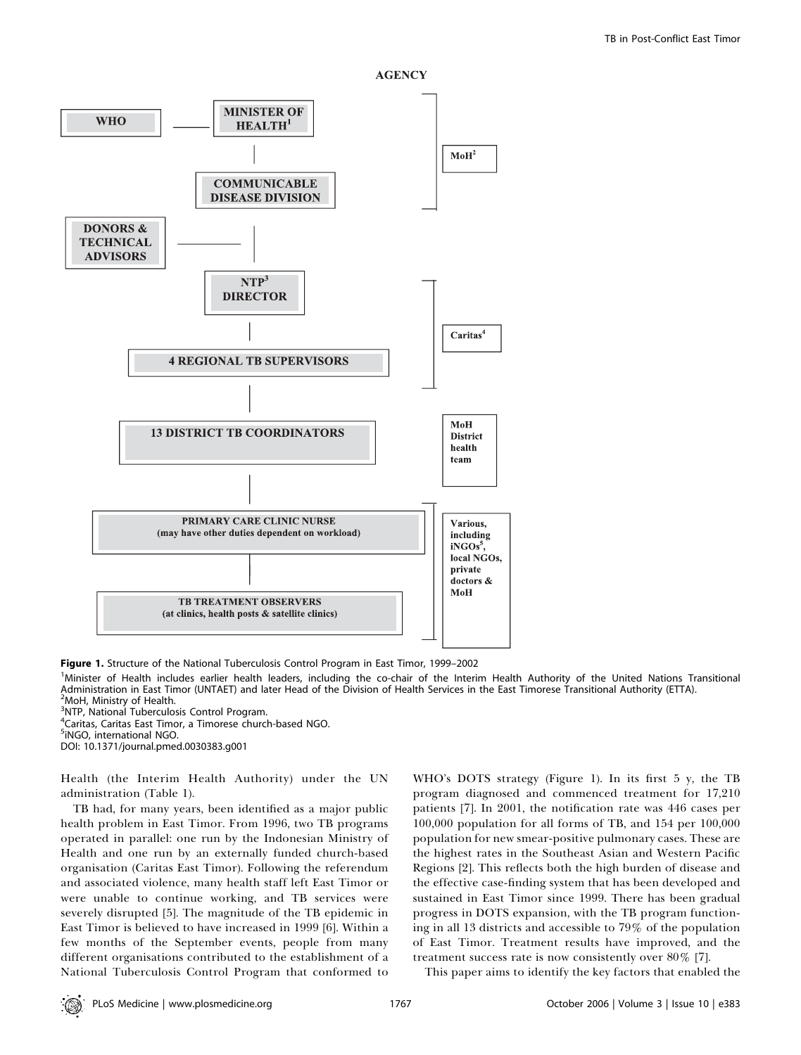**AGENCY** 



Figure 1. Structure of the National Tuberculosis Control Program in East Timor, 1999-2002

<sup>1</sup>Minister of Health includes earlier health leaders, including the co-chair of the Interim Health Authority of the United Nations Transitional Administration in East Timor (UNTAET) and later Head of the Division of Health Services in the East Timorese Transitional Authority (ETTA). <sup>2</sup>MoH, Ministry of Health.

<sup>3</sup>NTP, National Tuberculosis Control Program.

4 Caritas, Caritas East Timor, a Timorese church-based NGO.

5 iNGO, international NGO. DOI: 10.1371/journal.pmed.0030383.g001

Health (the Interim Health Authority) under the UN administration (Table 1).

TB had, for many years, been identified as a major public health problem in East Timor. From 1996, two TB programs operated in parallel: one run by the Indonesian Ministry of Health and one run by an externally funded church-based organisation (Caritas East Timor). Following the referendum and associated violence, many health staff left East Timor or were unable to continue working, and TB services were severely disrupted [5]. The magnitude of the TB epidemic in East Timor is believed to have increased in 1999 [6]. Within a few months of the September events, people from many different organisations contributed to the establishment of a National Tuberculosis Control Program that conformed to

WHO's DOTS strategy (Figure 1). In its first 5 y, the TB program diagnosed and commenced treatment for 17,210 patients [7]. In 2001, the notification rate was 446 cases per 100,000 population for all forms of TB, and 154 per 100,000 population for new smear-positive pulmonary cases. These are the highest rates in the Southeast Asian and Western Pacific Regions [2]. This reflects both the high burden of disease and the effective case-finding system that has been developed and sustained in East Timor since 1999. There has been gradual progress in DOTS expansion, with the TB program functioning in all 13 districts and accessible to 79% of the population of East Timor. Treatment results have improved, and the treatment success rate is now consistently over 80% [7].

This paper aims to identify the key factors that enabled the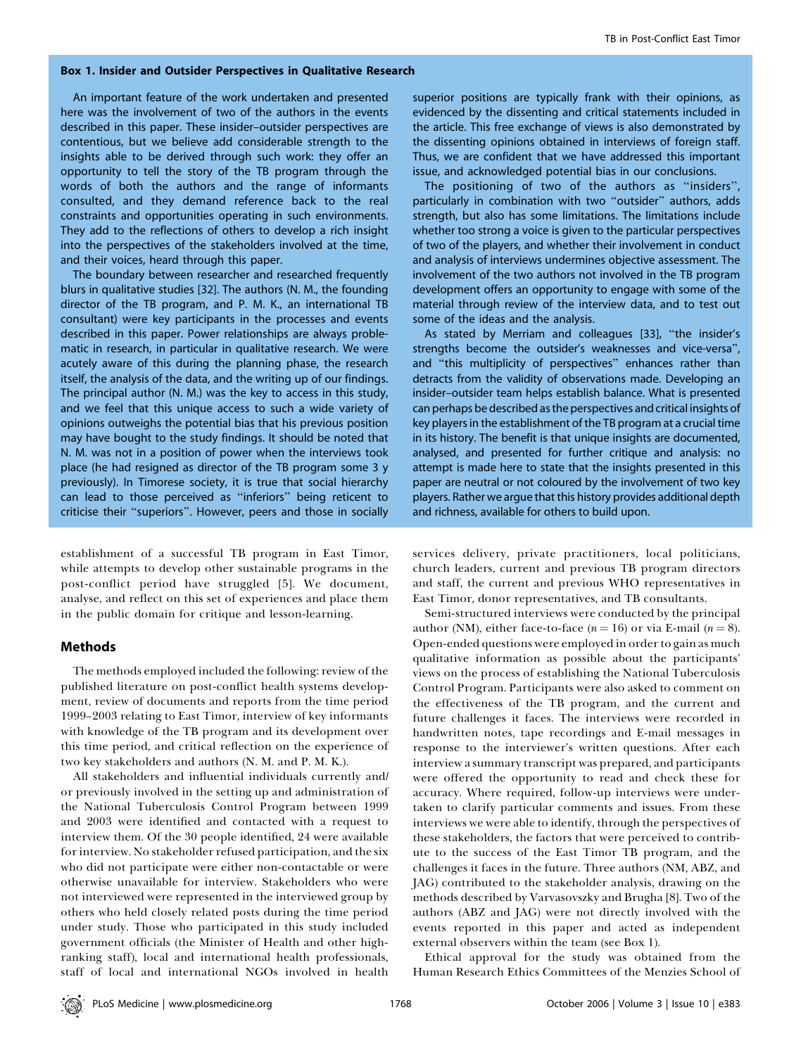## Box 1. Insider and Outsider Perspectives in Qualitative Research

An important feature of the work undertaken and presented here was the involvement of two of the authors in the events described in this paper. These insider–outsider perspectives are contentious, but we believe add considerable strength to the insights able to be derived through such work: they offer an opportunity to tell the story of the TB program through the words of both the authors and the range of informants consulted, and they demand reference back to the real constraints and opportunities operating in such environments. They add to the reflections of others to develop a rich insight into the perspectives of the stakeholders involved at the time, and their voices, heard through this paper.

The boundary between researcher and researched frequently blurs in qualitative studies [32]. The authors (N. M., the founding director of the TB program, and P. M. K., an international TB consultant) were key participants in the processes and events described in this paper. Power relationships are always problematic in research, in particular in qualitative research. We were acutely aware of this during the planning phase, the research itself, the analysis of the data, and the writing up of our findings. The principal author (N. M.) was the key to access in this study, and we feel that this unique access to such a wide variety of opinions outweighs the potential bias that his previous position may have bought to the study findings. It should be noted that N. M. was not in a position of power when the interviews took place (he had resigned as director of the TB program some 3 y previously). In Timorese society, it is true that social hierarchy can lead to those perceived as ''inferiors'' being reticent to criticise their ''superiors''. However, peers and those in socially

establishment of a successful TB program in East Timor, while attempts to develop other sustainable programs in the post-conflict period have struggled [5]. We document, analyse, and reflect on this set of experiences and place them in the public domain for critique and lesson-learning.

## Methods

The methods employed included the following: review of the published literature on post-conflict health systems development, review of documents and reports from the time period 1999–2003 relating to East Timor, interview of key informants with knowledge of the TB program and its development over this time period, and critical reflection on the experience of two key stakeholders and authors (N. M. and P. M. K.).

All stakeholders and influential individuals currently and/ or previously involved in the setting up and administration of the National Tuberculosis Control Program between 1999 and 2003 were identified and contacted with a request to interview them. Of the 30 people identified, 24 were available for interview. No stakeholder refused participation, and the six who did not participate were either non-contactable or were otherwise unavailable for interview. Stakeholders who were not interviewed were represented in the interviewed group by others who held closely related posts during the time period under study. Those who participated in this study included government officials (the Minister of Health and other highranking staff), local and international health professionals, staff of local and international NGOs involved in health

superior positions are typically frank with their opinions, as evidenced by the dissenting and critical statements included in the article. This free exchange of views is also demonstrated by the dissenting opinions obtained in interviews of foreign staff. Thus, we are confident that we have addressed this important issue, and acknowledged potential bias in our conclusions.

The positioning of two of the authors as ''insiders'', particularly in combination with two ''outsider'' authors, adds strength, but also has some limitations. The limitations include whether too strong a voice is given to the particular perspectives of two of the players, and whether their involvement in conduct and analysis of interviews undermines objective assessment. The involvement of the two authors not involved in the TB program development offers an opportunity to engage with some of the material through review of the interview data, and to test out some of the ideas and the analysis.

As stated by Merriam and colleagues [33], ''the insider's strengths become the outsider's weaknesses and vice-versa'', and ''this multiplicity of perspectives'' enhances rather than detracts from the validity of observations made. Developing an insider–outsider team helps establish balance. What is presented can perhaps be described as the perspectives and critical insights of key players in the establishment of the TB program at a crucial time in its history. The benefit is that unique insights are documented, analysed, and presented for further critique and analysis: no attempt is made here to state that the insights presented in this paper are neutral or not coloured by the involvement of two key players. Rather we argue that this history provides additional depth and richness, available for others to build upon.

services delivery, private practitioners, local politicians, church leaders, current and previous TB program directors and staff, the current and previous WHO representatives in East Timor, donor representatives, and TB consultants.

Semi-structured interviews were conducted by the principal author (NM), either face-to-face ( $n = 16$ ) or via E-mail ( $n = 8$ ). Open-ended questions were employed in order to gain as much qualitative information as possible about the participants' views on the process of establishing the National Tuberculosis Control Program. Participants were also asked to comment on the effectiveness of the TB program, and the current and future challenges it faces. The interviews were recorded in handwritten notes, tape recordings and E-mail messages in response to the interviewer's written questions. After each interview a summary transcript was prepared, and participants were offered the opportunity to read and check these for accuracy. Where required, follow-up interviews were undertaken to clarify particular comments and issues. From these interviews we were able to identify, through the perspectives of these stakeholders, the factors that were perceived to contribute to the success of the East Timor TB program, and the challenges it faces in the future. Three authors (NM, ABZ, and JAG) contributed to the stakeholder analysis, drawing on the methods described by Varvasovszky and Brugha [8]. Two of the authors (ABZ and JAG) were not directly involved with the events reported in this paper and acted as independent external observers within the team (see Box 1).

Ethical approval for the study was obtained from the Human Research Ethics Committees of the Menzies School of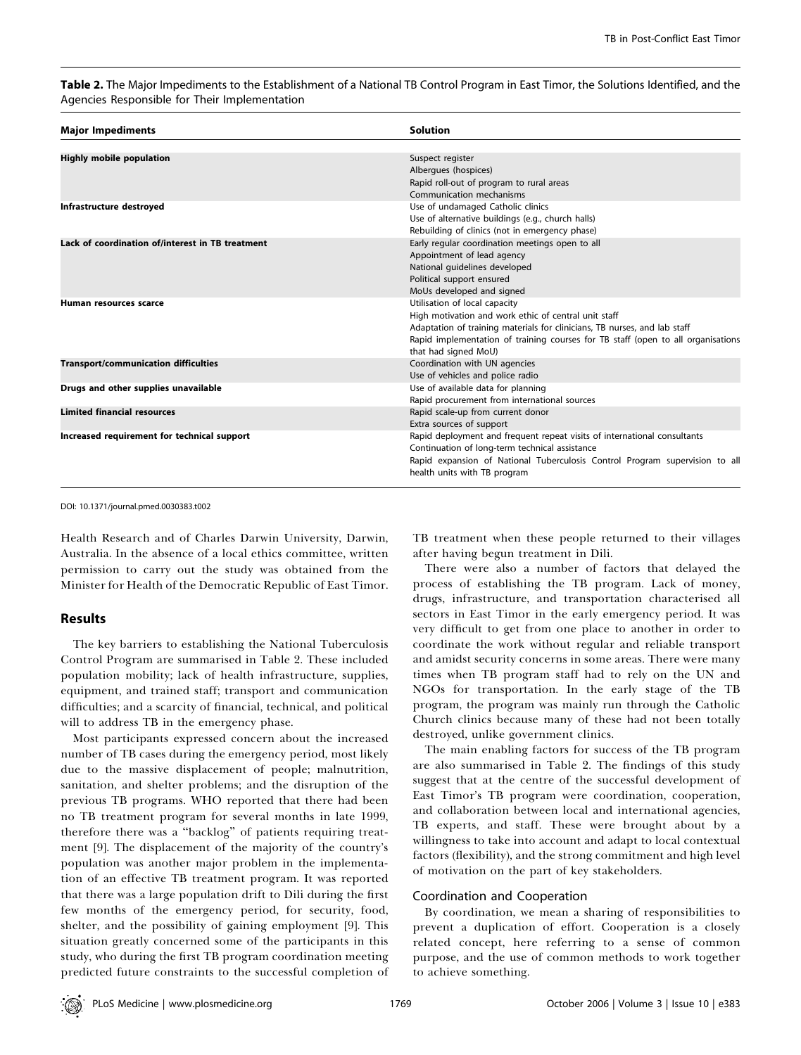Table 2. The Major Impediments to the Establishment of a National TB Control Program in East Timor, the Solutions Identified, and the Agencies Responsible for Their Implementation

| <b>Major Impediments</b>                         | <b>Solution</b>                                                                                                                                               |
|--------------------------------------------------|---------------------------------------------------------------------------------------------------------------------------------------------------------------|
|                                                  |                                                                                                                                                               |
| <b>Highly mobile population</b>                  | Suspect register                                                                                                                                              |
|                                                  | Albergues (hospices)                                                                                                                                          |
|                                                  | Rapid roll-out of program to rural areas                                                                                                                      |
|                                                  | Communication mechanisms                                                                                                                                      |
| Infrastructure destroyed                         | Use of undamaged Catholic clinics                                                                                                                             |
|                                                  | Use of alternative buildings (e.g., church halls)                                                                                                             |
|                                                  | Rebuilding of clinics (not in emergency phase)                                                                                                                |
| Lack of coordination of/interest in TB treatment | Early regular coordination meetings open to all                                                                                                               |
|                                                  | Appointment of lead agency                                                                                                                                    |
|                                                  | National guidelines developed                                                                                                                                 |
|                                                  | Political support ensured                                                                                                                                     |
|                                                  | MoUs developed and signed                                                                                                                                     |
| Human resources scarce                           | Utilisation of local capacity                                                                                                                                 |
|                                                  | High motivation and work ethic of central unit staff                                                                                                          |
|                                                  | Adaptation of training materials for clinicians, TB nurses, and lab staff<br>Rapid implementation of training courses for TB staff (open to all organisations |
|                                                  | that had signed MoU)                                                                                                                                          |
| <b>Transport/communication difficulties</b>      | Coordination with UN agencies                                                                                                                                 |
|                                                  | Use of vehicles and police radio                                                                                                                              |
| Drugs and other supplies unavailable             | Use of available data for planning                                                                                                                            |
|                                                  | Rapid procurement from international sources                                                                                                                  |
| <b>Limited financial resources</b>               | Rapid scale-up from current donor                                                                                                                             |
|                                                  | Extra sources of support                                                                                                                                      |
| Increased requirement for technical support      | Rapid deployment and frequent repeat visits of international consultants                                                                                      |
|                                                  | Continuation of long-term technical assistance                                                                                                                |
|                                                  | Rapid expansion of National Tuberculosis Control Program supervision to all                                                                                   |
|                                                  | health units with TB program                                                                                                                                  |
|                                                  |                                                                                                                                                               |

DOI: 10.1371/journal.pmed.0030383.t002

Health Research and of Charles Darwin University, Darwin, Australia. In the absence of a local ethics committee, written permission to carry out the study was obtained from the Minister for Health of the Democratic Republic of East Timor.

## Results

The key barriers to establishing the National Tuberculosis Control Program are summarised in Table 2. These included population mobility; lack of health infrastructure, supplies, equipment, and trained staff; transport and communication difficulties; and a scarcity of financial, technical, and political will to address TB in the emergency phase.

Most participants expressed concern about the increased number of TB cases during the emergency period, most likely due to the massive displacement of people; malnutrition, sanitation, and shelter problems; and the disruption of the previous TB programs. WHO reported that there had been no TB treatment program for several months in late 1999, therefore there was a ''backlog'' of patients requiring treatment [9]. The displacement of the majority of the country's population was another major problem in the implementation of an effective TB treatment program. It was reported that there was a large population drift to Dili during the first few months of the emergency period, for security, food, shelter, and the possibility of gaining employment [9]. This situation greatly concerned some of the participants in this study, who during the first TB program coordination meeting predicted future constraints to the successful completion of TB treatment when these people returned to their villages after having begun treatment in Dili.

There were also a number of factors that delayed the process of establishing the TB program. Lack of money, drugs, infrastructure, and transportation characterised all sectors in East Timor in the early emergency period. It was very difficult to get from one place to another in order to coordinate the work without regular and reliable transport and amidst security concerns in some areas. There were many times when TB program staff had to rely on the UN and NGOs for transportation. In the early stage of the TB program, the program was mainly run through the Catholic Church clinics because many of these had not been totally destroyed, unlike government clinics.

The main enabling factors for success of the TB program are also summarised in Table 2. The findings of this study suggest that at the centre of the successful development of East Timor's TB program were coordination, cooperation, and collaboration between local and international agencies, TB experts, and staff. These were brought about by a willingness to take into account and adapt to local contextual factors (flexibility), and the strong commitment and high level of motivation on the part of key stakeholders.

## Coordination and Cooperation

By coordination, we mean a sharing of responsibilities to prevent a duplication of effort. Cooperation is a closely related concept, here referring to a sense of common purpose, and the use of common methods to work together to achieve something.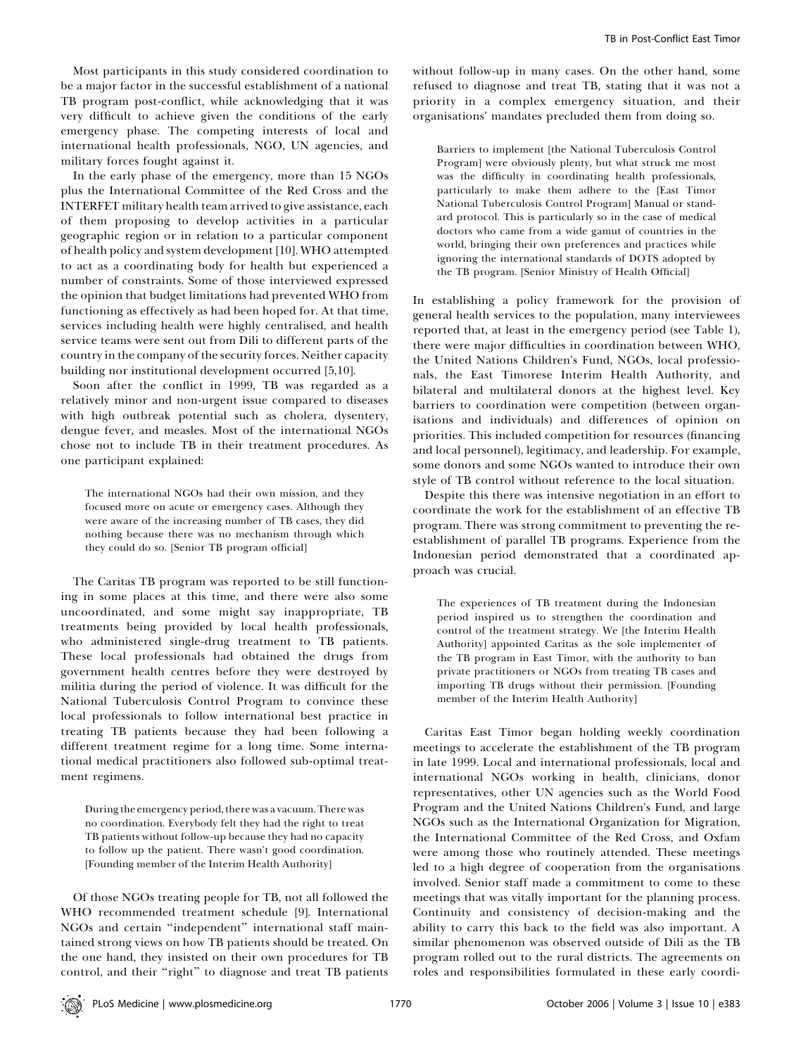Most participants in this study considered coordination to be a major factor in the successful establishment of a national TB program post-conflict, while acknowledging that it was very difficult to achieve given the conditions of the early emergency phase. The competing interests of local and international health professionals, NGO, UN agencies, and military forces fought against it.

In the early phase of the emergency, more than 15 NGOs plus the International Committee of the Red Cross and the INTERFET military health team arrived to give assistance, each of them proposing to develop activities in a particular geographic region or in relation to a particular component of health policy and system development [10]. WHO attempted to act as a coordinating body for health but experienced a number of constraints. Some of those interviewed expressed the opinion that budget limitations had prevented WHO from functioning as effectively as had been hoped for. At that time, services including health were highly centralised, and health service teams were sent out from Dili to different parts of the country in the company of the security forces. Neither capacity building nor institutional development occurred [5,10].

Soon after the conflict in 1999, TB was regarded as a relatively minor and non-urgent issue compared to diseases with high outbreak potential such as cholera, dysentery, dengue fever, and measles. Most of the international NGOs chose not to include TB in their treatment procedures. As one participant explained:

The international NGOs had their own mission, and they focused more on acute or emergency cases. Although they were aware of the increasing number of TB cases, they did nothing because there was no mechanism through which they could do so. [Senior TB program official]

The Caritas TB program was reported to be still functioning in some places at this time, and there were also some uncoordinated, and some might say inappropriate, TB treatments being provided by local health professionals, who administered single-drug treatment to TB patients. These local professionals had obtained the drugs from government health centres before they were destroyed by militia during the period of violence. It was difficult for the National Tuberculosis Control Program to convince these local professionals to follow international best practice in treating TB patients because they had been following a different treatment regime for a long time. Some international medical practitioners also followed sub-optimal treatment regimens.

During the emergency period, therewas a vacuum. There was no coordination. Everybody felt they had the right to treat TB patients without follow-up because they had no capacity to follow up the patient. There wasn't good coordination. [Founding member of the Interim Health Authority]

Of those NGOs treating people for TB, not all followed the WHO recommended treatment schedule [9]. International NGOs and certain ''independent'' international staff maintained strong views on how TB patients should be treated. On the one hand, they insisted on their own procedures for TB control, and their ''right'' to diagnose and treat TB patients

without follow-up in many cases. On the other hand, some refused to diagnose and treat TB, stating that it was not a priority in a complex emergency situation, and their organisations' mandates precluded them from doing so.

Barriers to implement [the National Tuberculosis Control Program] were obviously plenty, but what struck me most was the difficulty in coordinating health professionals, particularly to make them adhere to the [East Timor National Tuberculosis Control Program] Manual or standard protocol. This is particularly so in the case of medical doctors who came from a wide gamut of countries in the world, bringing their own preferences and practices while ignoring the international standards of DOTS adopted by the TB program. [Senior Ministry of Health Official]

In establishing a policy framework for the provision of general health services to the population, many interviewees reported that, at least in the emergency period (see Table 1), there were major difficulties in coordination between WHO, the United Nations Children's Fund, NGOs, local professionals, the East Timorese Interim Health Authority, and bilateral and multilateral donors at the highest level. Key barriers to coordination were competition (between organisations and individuals) and differences of opinion on priorities. This included competition for resources (financing and local personnel), legitimacy, and leadership. For example, some donors and some NGOs wanted to introduce their own style of TB control without reference to the local situation.

Despite this there was intensive negotiation in an effort to coordinate the work for the establishment of an effective TB program. There was strong commitment to preventing the reestablishment of parallel TB programs. Experience from the Indonesian period demonstrated that a coordinated approach was crucial.

The experiences of TB treatment during the Indonesian period inspired us to strengthen the coordination and control of the treatment strategy. We [the Interim Health Authority] appointed Caritas as the sole implementer of the TB program in East Timor, with the authority to ban private practitioners or NGOs from treating TB cases and importing TB drugs without their permission. [Founding member of the Interim Health Authority]

Caritas East Timor began holding weekly coordination meetings to accelerate the establishment of the TB program in late 1999. Local and international professionals, local and international NGOs working in health, clinicians, donor representatives, other UN agencies such as the World Food Program and the United Nations Children's Fund, and large NGOs such as the International Organization for Migration, the International Committee of the Red Cross, and Oxfam were among those who routinely attended. These meetings led to a high degree of cooperation from the organisations involved. Senior staff made a commitment to come to these meetings that was vitally important for the planning process. Continuity and consistency of decision-making and the ability to carry this back to the field was also important. A similar phenomenon was observed outside of Dili as the TB program rolled out to the rural districts. The agreements on roles and responsibilities formulated in these early coordi-

PLoS Medicine | www.plosmedicine.org October 2006 | Volume 3 | Issue 10 | e383 1770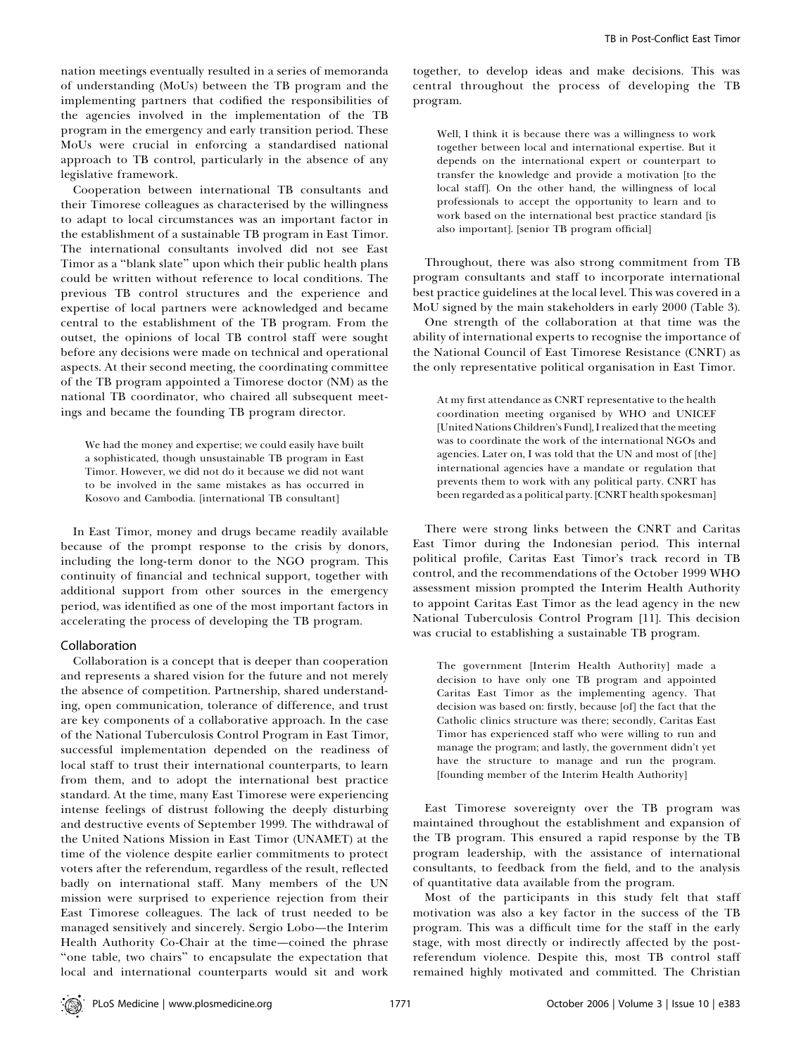nation meetings eventually resulted in a series of memoranda of understanding (MoUs) between the TB program and the implementing partners that codified the responsibilities of the agencies involved in the implementation of the TB program in the emergency and early transition period. These MoUs were crucial in enforcing a standardised national approach to TB control, particularly in the absence of any legislative framework.

Cooperation between international TB consultants and their Timorese colleagues as characterised by the willingness to adapt to local circumstances was an important factor in the establishment of a sustainable TB program in East Timor. The international consultants involved did not see East Timor as a ''blank slate'' upon which their public health plans could be written without reference to local conditions. The previous TB control structures and the experience and expertise of local partners were acknowledged and became central to the establishment of the TB program. From the outset, the opinions of local TB control staff were sought before any decisions were made on technical and operational aspects. At their second meeting, the coordinating committee of the TB program appointed a Timorese doctor (NM) as the national TB coordinator, who chaired all subsequent meetings and became the founding TB program director.

We had the money and expertise; we could easily have built a sophisticated, though unsustainable TB program in East Timor. However, we did not do it because we did not want to be involved in the same mistakes as has occurred in Kosovo and Cambodia. [international TB consultant]

In East Timor, money and drugs became readily available because of the prompt response to the crisis by donors, including the long-term donor to the NGO program. This continuity of financial and technical support, together with additional support from other sources in the emergency period, was identified as one of the most important factors in accelerating the process of developing the TB program.

## Collaboration

Collaboration is a concept that is deeper than cooperation and represents a shared vision for the future and not merely the absence of competition. Partnership, shared understanding, open communication, tolerance of difference, and trust are key components of a collaborative approach. In the case of the National Tuberculosis Control Program in East Timor, successful implementation depended on the readiness of local staff to trust their international counterparts, to learn from them, and to adopt the international best practice standard. At the time, many East Timorese were experiencing intense feelings of distrust following the deeply disturbing and destructive events of September 1999. The withdrawal of the United Nations Mission in East Timor (UNAMET) at the time of the violence despite earlier commitments to protect voters after the referendum, regardless of the result, reflected badly on international staff. Many members of the UN mission were surprised to experience rejection from their East Timorese colleagues. The lack of trust needed to be managed sensitively and sincerely. Sergio Lobo—the Interim Health Authority Co-Chair at the time—coined the phrase "one table, two chairs" to encapsulate the expectation that local and international counterparts would sit and work

together, to develop ideas and make decisions. This was central throughout the process of developing the TB program.

Well, I think it is because there was a willingness to work together between local and international expertise. But it depends on the international expert or counterpart to transfer the knowledge and provide a motivation [to the local staff]. On the other hand, the willingness of local professionals to accept the opportunity to learn and to work based on the international best practice standard [is also important]. [senior TB program official]

Throughout, there was also strong commitment from TB program consultants and staff to incorporate international best practice guidelines at the local level. This was covered in a MoU signed by the main stakeholders in early 2000 (Table 3).

One strength of the collaboration at that time was the ability of international experts to recognise the importance of the National Council of East Timorese Resistance (CNRT) as the only representative political organisation in East Timor.

At my first attendance as CNRT representative to the health coordination meeting organised by WHO and UNICEF [United Nations Children's Fund], I realized that the meeting was to coordinate the work of the international NGOs and agencies. Later on, I was told that the UN and most of [the] international agencies have a mandate or regulation that prevents them to work with any political party. CNRT has been regarded as a political party. [CNRT health spokesman]

There were strong links between the CNRT and Caritas East Timor during the Indonesian period. This internal political profile, Caritas East Timor's track record in TB control, and the recommendations of the October 1999 WHO assessment mission prompted the Interim Health Authority to appoint Caritas East Timor as the lead agency in the new National Tuberculosis Control Program [11]. This decision was crucial to establishing a sustainable TB program.

The government [Interim Health Authority] made a decision to have only one TB program and appointed Caritas East Timor as the implementing agency. That decision was based on: firstly, because [of] the fact that the Catholic clinics structure was there; secondly, Caritas East Timor has experienced staff who were willing to run and manage the program; and lastly, the government didn't yet have the structure to manage and run the program. [founding member of the Interim Health Authority]

East Timorese sovereignty over the TB program was maintained throughout the establishment and expansion of the TB program. This ensured a rapid response by the TB program leadership, with the assistance of international consultants, to feedback from the field, and to the analysis of quantitative data available from the program.

Most of the participants in this study felt that staff motivation was also a key factor in the success of the TB program. This was a difficult time for the staff in the early stage, with most directly or indirectly affected by the postreferendum violence. Despite this, most TB control staff remained highly motivated and committed. The Christian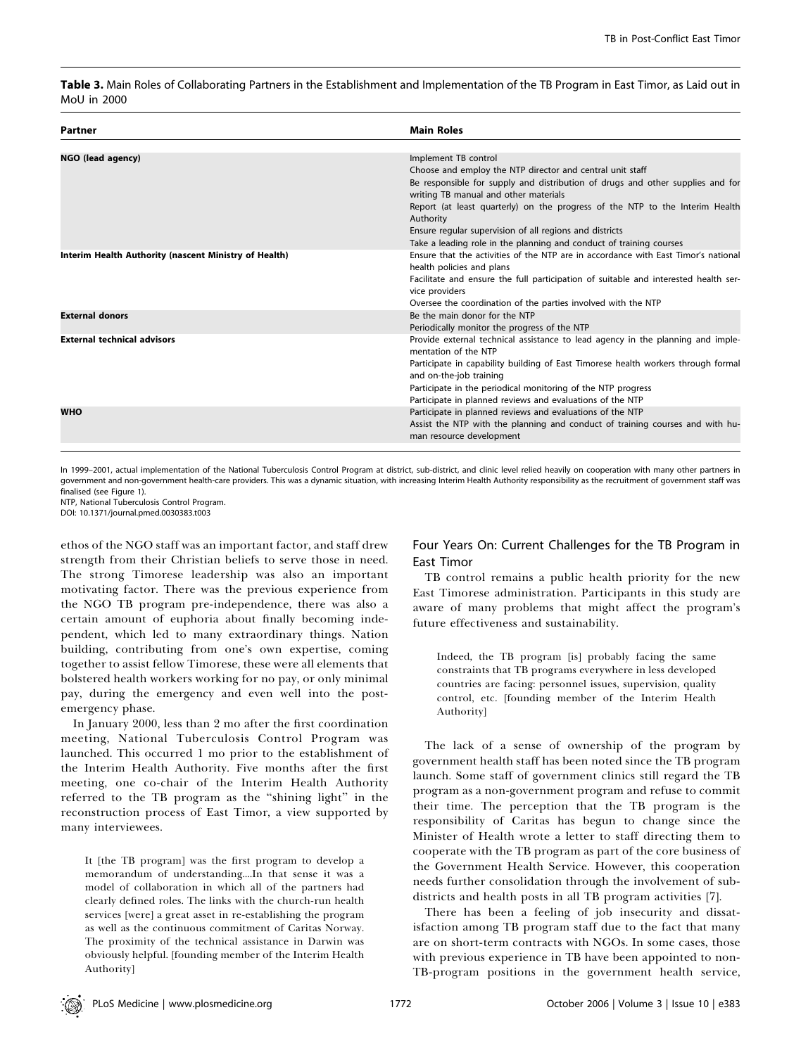Table 3. Main Roles of Collaborating Partners in the Establishment and Implementation of the TB Program in East Timor, as Laid out in MoU in 2000

| <b>Partner</b>                                        | <b>Main Roles</b>                                                                                         |
|-------------------------------------------------------|-----------------------------------------------------------------------------------------------------------|
|                                                       |                                                                                                           |
| NGO (lead agency)                                     | Implement TB control<br>Choose and employ the NTP director and central unit staff                         |
|                                                       | Be responsible for supply and distribution of drugs and other supplies and for                            |
|                                                       | writing TB manual and other materials                                                                     |
|                                                       | Report (at least quarterly) on the progress of the NTP to the Interim Health                              |
|                                                       | Authority                                                                                                 |
|                                                       | Ensure regular supervision of all regions and districts                                                   |
|                                                       | Take a leading role in the planning and conduct of training courses                                       |
| Interim Health Authority (nascent Ministry of Health) | Ensure that the activities of the NTP are in accordance with East Timor's national                        |
|                                                       | health policies and plans                                                                                 |
|                                                       | Facilitate and ensure the full participation of suitable and interested health ser-                       |
|                                                       | vice providers<br>Oversee the coordination of the parties involved with the NTP                           |
| <b>External donors</b>                                | Be the main donor for the NTP                                                                             |
|                                                       | Periodically monitor the progress of the NTP                                                              |
| <b>External technical advisors</b>                    | Provide external technical assistance to lead agency in the planning and imple-                           |
|                                                       | mentation of the NTP                                                                                      |
|                                                       | Participate in capability building of East Timorese health workers through formal                         |
|                                                       | and on-the-job training                                                                                   |
|                                                       | Participate in the periodical monitoring of the NTP progress                                              |
|                                                       | Participate in planned reviews and evaluations of the NTP                                                 |
| <b>WHO</b>                                            | Participate in planned reviews and evaluations of the NTP                                                 |
|                                                       | Assist the NTP with the planning and conduct of training courses and with hu-<br>man resource development |
|                                                       |                                                                                                           |

In 1999–2001, actual implementation of the National Tuberculosis Control Program at district, sub-district, and clinic level relied heavily on cooperation with many other partners in government and non-government health-care providers. This was a dynamic situation, with increasing Interim Health Authority responsibility as the recruitment of government staff was finalised (see Figure 1).

NTP, National Tuberculosis Control Program. DOI: 10.1371/journal.pmed.0030383.t003

ethos of the NGO staff was an important factor, and staff drew strength from their Christian beliefs to serve those in need. The strong Timorese leadership was also an important motivating factor. There was the previous experience from the NGO TB program pre-independence, there was also a certain amount of euphoria about finally becoming independent, which led to many extraordinary things. Nation building, contributing from one's own expertise, coming together to assist fellow Timorese, these were all elements that bolstered health workers working for no pay, or only minimal pay, during the emergency and even well into the postemergency phase.

In January 2000, less than 2 mo after the first coordination meeting, National Tuberculosis Control Program was launched. This occurred 1 mo prior to the establishment of the Interim Health Authority. Five months after the first meeting, one co-chair of the Interim Health Authority referred to the TB program as the ''shining light'' in the reconstruction process of East Timor, a view supported by many interviewees.

It [the TB program] was the first program to develop a memorandum of understanding....In that sense it was a model of collaboration in which all of the partners had clearly defined roles. The links with the church-run health services [were] a great asset in re-establishing the program as well as the continuous commitment of Caritas Norway. The proximity of the technical assistance in Darwin was obviously helpful. [founding member of the Interim Health Authority]

# Four Years On: Current Challenges for the TB Program in East Timor

TB control remains a public health priority for the new East Timorese administration. Participants in this study are aware of many problems that might affect the program's future effectiveness and sustainability.

Indeed, the TB program [is] probably facing the same constraints that TB programs everywhere in less developed countries are facing: personnel issues, supervision, quality control, etc. [founding member of the Interim Health Authority]

The lack of a sense of ownership of the program by government health staff has been noted since the TB program launch. Some staff of government clinics still regard the TB program as a non-government program and refuse to commit their time. The perception that the TB program is the responsibility of Caritas has begun to change since the Minister of Health wrote a letter to staff directing them to cooperate with the TB program as part of the core business of the Government Health Service. However, this cooperation needs further consolidation through the involvement of subdistricts and health posts in all TB program activities [7].

There has been a feeling of job insecurity and dissatisfaction among TB program staff due to the fact that many are on short-term contracts with NGOs. In some cases, those with previous experience in TB have been appointed to non-TB-program positions in the government health service,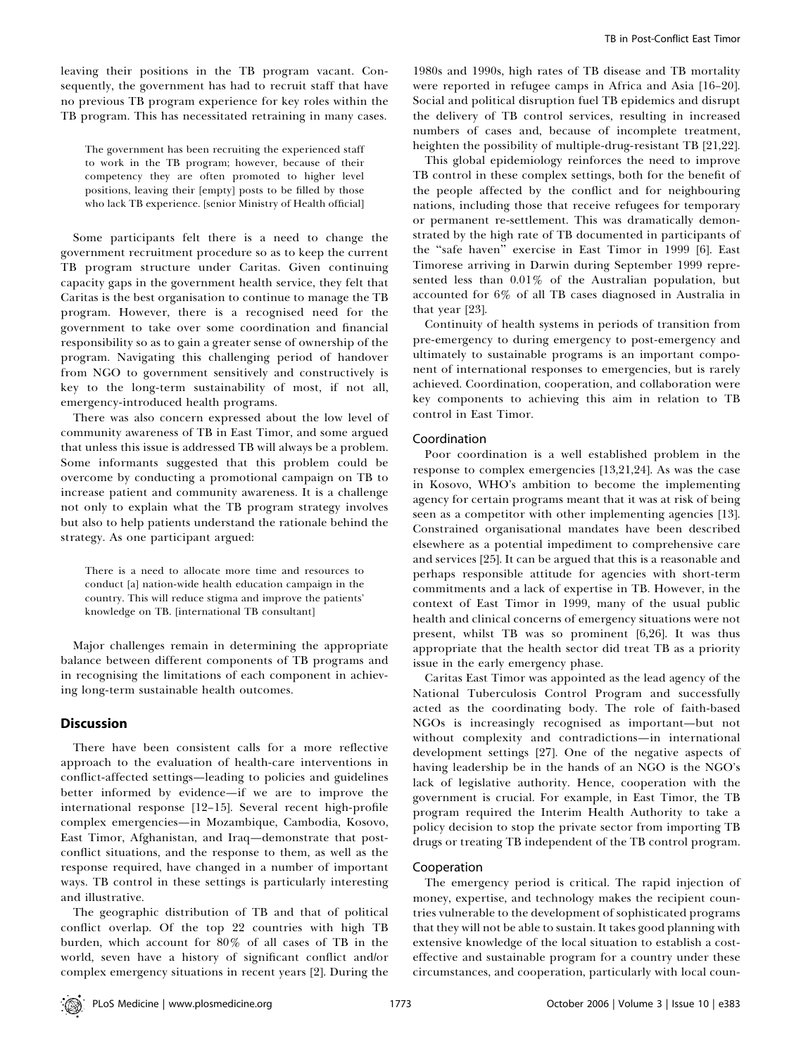leaving their positions in the TB program vacant. Consequently, the government has had to recruit staff that have no previous TB program experience for key roles within the TB program. This has necessitated retraining in many cases.

The government has been recruiting the experienced staff to work in the TB program; however, because of their competency they are often promoted to higher level positions, leaving their [empty] posts to be filled by those who lack TB experience. [senior Ministry of Health official]

Some participants felt there is a need to change the government recruitment procedure so as to keep the current TB program structure under Caritas. Given continuing capacity gaps in the government health service, they felt that Caritas is the best organisation to continue to manage the TB program. However, there is a recognised need for the government to take over some coordination and financial responsibility so as to gain a greater sense of ownership of the program. Navigating this challenging period of handover from NGO to government sensitively and constructively is key to the long-term sustainability of most, if not all, emergency-introduced health programs.

There was also concern expressed about the low level of community awareness of TB in East Timor, and some argued that unless this issue is addressed TB will always be a problem. Some informants suggested that this problem could be overcome by conducting a promotional campaign on TB to increase patient and community awareness. It is a challenge not only to explain what the TB program strategy involves but also to help patients understand the rationale behind the strategy. As one participant argued:

There is a need to allocate more time and resources to conduct [a] nation-wide health education campaign in the country. This will reduce stigma and improve the patients' knowledge on TB. [international TB consultant]

Major challenges remain in determining the appropriate balance between different components of TB programs and in recognising the limitations of each component in achieving long-term sustainable health outcomes.

## **Discussion**

There have been consistent calls for a more reflective approach to the evaluation of health-care interventions in conflict-affected settings—leading to policies and guidelines better informed by evidence—if we are to improve the international response [12–15]. Several recent high-profile complex emergencies—in Mozambique, Cambodia, Kosovo, East Timor, Afghanistan, and Iraq—demonstrate that postconflict situations, and the response to them, as well as the response required, have changed in a number of important ways. TB control in these settings is particularly interesting and illustrative.

The geographic distribution of TB and that of political conflict overlap. Of the top 22 countries with high TB burden, which account for 80% of all cases of TB in the world, seven have a history of significant conflict and/or complex emergency situations in recent years [2]. During the

1980s and 1990s, high rates of TB disease and TB mortality were reported in refugee camps in Africa and Asia [16–20]. Social and political disruption fuel TB epidemics and disrupt the delivery of TB control services, resulting in increased numbers of cases and, because of incomplete treatment, heighten the possibility of multiple-drug-resistant TB [21,22].

This global epidemiology reinforces the need to improve TB control in these complex settings, both for the benefit of the people affected by the conflict and for neighbouring nations, including those that receive refugees for temporary or permanent re-settlement. This was dramatically demonstrated by the high rate of TB documented in participants of the ''safe haven'' exercise in East Timor in 1999 [6]. East Timorese arriving in Darwin during September 1999 represented less than 0.01% of the Australian population, but accounted for 6% of all TB cases diagnosed in Australia in that year [23].

Continuity of health systems in periods of transition from pre-emergency to during emergency to post-emergency and ultimately to sustainable programs is an important component of international responses to emergencies, but is rarely achieved. Coordination, cooperation, and collaboration were key components to achieving this aim in relation to TB control in East Timor.

## Coordination

Poor coordination is a well established problem in the response to complex emergencies [13,21,24]. As was the case in Kosovo, WHO's ambition to become the implementing agency for certain programs meant that it was at risk of being seen as a competitor with other implementing agencies [13]. Constrained organisational mandates have been described elsewhere as a potential impediment to comprehensive care and services [25]. It can be argued that this is a reasonable and perhaps responsible attitude for agencies with short-term commitments and a lack of expertise in TB. However, in the context of East Timor in 1999, many of the usual public health and clinical concerns of emergency situations were not present, whilst TB was so prominent [6,26]. It was thus appropriate that the health sector did treat TB as a priority issue in the early emergency phase.

Caritas East Timor was appointed as the lead agency of the National Tuberculosis Control Program and successfully acted as the coordinating body. The role of faith-based NGOs is increasingly recognised as important—but not without complexity and contradictions—in international development settings [27]. One of the negative aspects of having leadership be in the hands of an NGO is the NGO's lack of legislative authority. Hence, cooperation with the government is crucial. For example, in East Timor, the TB program required the Interim Health Authority to take a policy decision to stop the private sector from importing TB drugs or treating TB independent of the TB control program.

#### Cooperation

The emergency period is critical. The rapid injection of money, expertise, and technology makes the recipient countries vulnerable to the development of sophisticated programs that they will not be able to sustain. It takes good planning with extensive knowledge of the local situation to establish a costeffective and sustainable program for a country under these circumstances, and cooperation, particularly with local coun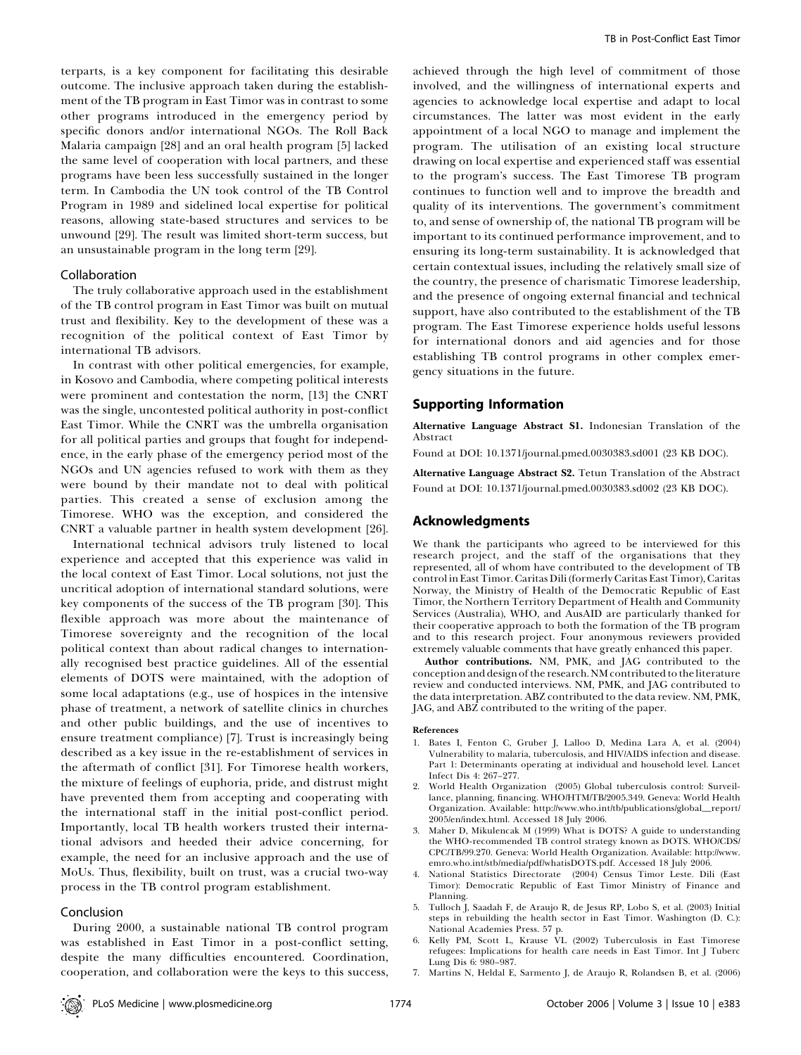terparts, is a key component for facilitating this desirable outcome. The inclusive approach taken during the establishment of the TB program in East Timor was in contrast to some other programs introduced in the emergency period by specific donors and/or international NGOs. The Roll Back Malaria campaign [28] and an oral health program [5] lacked the same level of cooperation with local partners, and these programs have been less successfully sustained in the longer term. In Cambodia the UN took control of the TB Control Program in 1989 and sidelined local expertise for political reasons, allowing state-based structures and services to be unwound [29]. The result was limited short-term success, but an unsustainable program in the long term [29].

#### Collaboration

The truly collaborative approach used in the establishment of the TB control program in East Timor was built on mutual trust and flexibility. Key to the development of these was a recognition of the political context of East Timor by international TB advisors.

In contrast with other political emergencies, for example, in Kosovo and Cambodia, where competing political interests were prominent and contestation the norm, [13] the CNRT was the single, uncontested political authority in post-conflict East Timor. While the CNRT was the umbrella organisation for all political parties and groups that fought for independence, in the early phase of the emergency period most of the NGOs and UN agencies refused to work with them as they were bound by their mandate not to deal with political parties. This created a sense of exclusion among the Timorese. WHO was the exception, and considered the CNRT a valuable partner in health system development [26].

International technical advisors truly listened to local experience and accepted that this experience was valid in the local context of East Timor. Local solutions, not just the uncritical adoption of international standard solutions, were key components of the success of the TB program [30]. This flexible approach was more about the maintenance of Timorese sovereignty and the recognition of the local political context than about radical changes to internationally recognised best practice guidelines. All of the essential elements of DOTS were maintained, with the adoption of some local adaptations (e.g., use of hospices in the intensive phase of treatment, a network of satellite clinics in churches and other public buildings, and the use of incentives to ensure treatment compliance) [7]. Trust is increasingly being described as a key issue in the re-establishment of services in the aftermath of conflict [31]. For Timorese health workers, the mixture of feelings of euphoria, pride, and distrust might have prevented them from accepting and cooperating with the international staff in the initial post-conflict period. Importantly, local TB health workers trusted their international advisors and heeded their advice concerning, for example, the need for an inclusive approach and the use of MoUs. Thus, flexibility, built on trust, was a crucial two-way process in the TB control program establishment.

#### Conclusion

During 2000, a sustainable national TB control program was established in East Timor in a post-conflict setting, despite the many difficulties encountered. Coordination, cooperation, and collaboration were the keys to this success,

achieved through the high level of commitment of those involved, and the willingness of international experts and agencies to acknowledge local expertise and adapt to local circumstances. The latter was most evident in the early appointment of a local NGO to manage and implement the program. The utilisation of an existing local structure drawing on local expertise and experienced staff was essential to the program's success. The East Timorese TB program continues to function well and to improve the breadth and quality of its interventions. The government's commitment to, and sense of ownership of, the national TB program will be important to its continued performance improvement, and to ensuring its long-term sustainability. It is acknowledged that certain contextual issues, including the relatively small size of the country, the presence of charismatic Timorese leadership, and the presence of ongoing external financial and technical support, have also contributed to the establishment of the TB program. The East Timorese experience holds useful lessons for international donors and aid agencies and for those establishing TB control programs in other complex emergency situations in the future.

## Supporting Information

Alternative Language Abstract S1. Indonesian Translation of the Abstract

Found at DOI: 10.1371/journal.pmed.0030383.sd001 (23 KB DOC).

Alternative Language Abstract S2. Tetun Translation of the Abstract Found at DOI: 10.1371/journal.pmed.0030383.sd002 (23 KB DOC).

#### Acknowledgments

We thank the participants who agreed to be interviewed for this research project, and the staff of the organisations that they represented, all of whom have contributed to the development of TB control in East Timor.Caritas Dili (formerly Caritas East Timor), Caritas Norway, the Ministry of Health of the Democratic Republic of East Timor, the Northern Territory Department of Health and Community Services (Australia), WHO, and AusAID are particularly thanked for their cooperative approach to both the formation of the TB program and to this research project. Four anonymous reviewers provided extremely valuable comments that have greatly enhanced this paper.

Author contributions. NM, PMK, and JAG contributed to the conception and design of the research. NM contributed to the literature review and conducted interviews. NM, PMK, and JAG contributed to the data interpretation. ABZ contributed to the data review. NM, PMK, JAG, and ABZ contributed to the writing of the paper.

#### References

- 1. Bates I, Fenton C, Gruber J, Lalloo D, Medina Lara A, et al. (2004) Vulnerability to malaria, tuberculosis, and HIV/AIDS infection and disease. Part 1: Determinants operating at individual and household level. Lancet Infect Dis 4: 267–277.
- 2. World Health Organization (2005) Global tuberculosis control: Surveillance, planning, financing. WHO/HTM/TB/2005.349. Geneva: World Health Organization. Available: http://www.who.int/tb/publications/global\_report/ 2005/en/index.html. Accessed 18 July 2006.
- 3. Maher D, Mikulencak M (1999) What is DOTS? A guide to understanding the WHO-recommended TB control strategy known as DOTS. WHO/CDS/ CPC/TB/99.270. Geneva: World Health Organization. Available: http://www. emro.who.int/stb/media/pdf/whatisDOTS.pdf. Accessed 18 July 2006.
- 4. National Statistics Directorate (2004) Census Timor Leste. Dili (East Timor): Democratic Republic of East Timor Ministry of Finance and Planning.
- 5. Tulloch J, Saadah F, de Araujo R, de Jesus RP, Lobo S, et al. (2003) Initial steps in rebuilding the health sector in East Timor. Washington (D. C.): National Academies Press. 57 p.
- 6. Kelly PM, Scott L, Krause VL (2002) Tuberculosis in East Timorese refugees: Implications for health care needs in East Timor. Int J Tuberc Lung Dis 6: 980–987.
- 7. Martins N, Heldal E, Sarmento J, de Araujo R, Rolandsen B, et al. (2006)